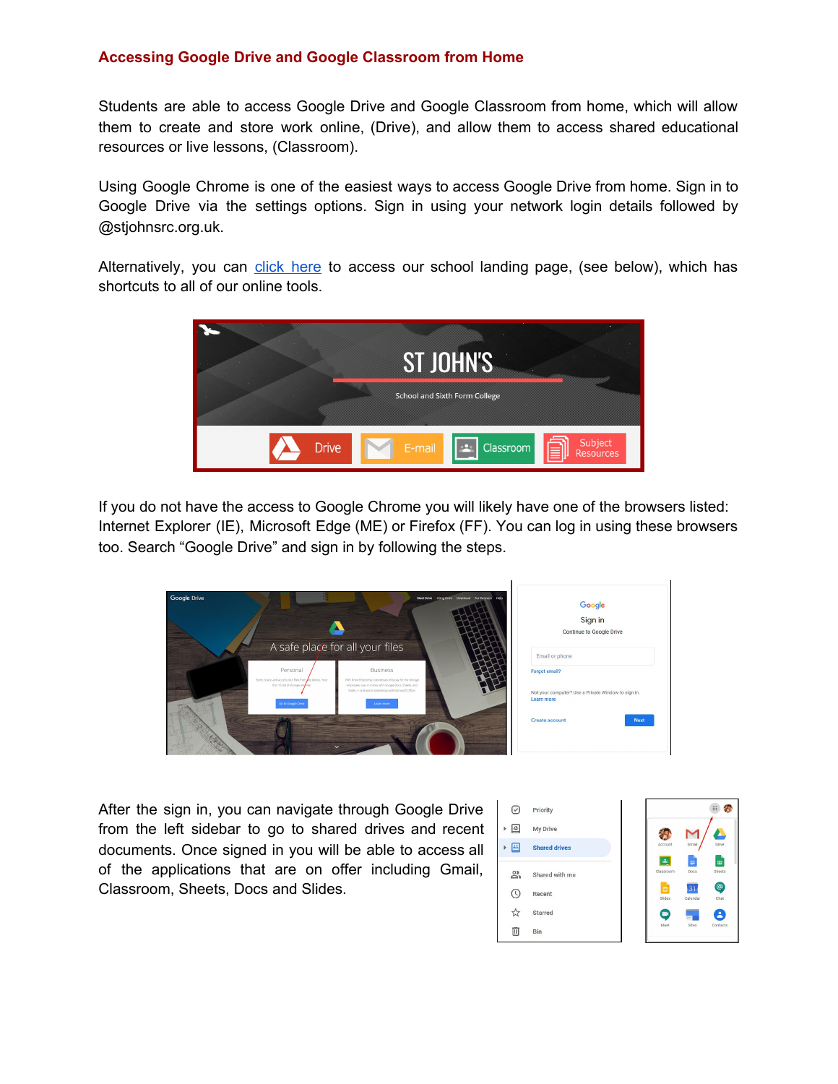# **Accessing Google Drive and Google Classroom from Home**

Students are able to access Google Drive and Google Classroom from home, which will allow them to create and store work online, (Drive), and allow them to access shared educational resources or live lessons, (Classroom).

Using Google Chrome is one of the easiest ways to access Google Drive from home. Sign in to Google Drive via the settings options. Sign in using your network login details followed by @stjohnsrc.org.uk.

Alternatively, you can click [here](https://portal.stjohnsrc.org.uk/) to access our school landing page, (see below), which has shortcuts to all of our online tools.



If you do not have the access to Google Chrome you will likely have one of the browsers listed: Internet Explorer (IE), Microsoft Edge (ME) or Firefox (FF). You can log in using these browsers too. Search "Google Drive" and sign in by following the steps.



After the sign in, you can navigate through Google Drive from the left sidebar to go to shared drives and recent documents. Once signed in you will be able to access all of the applications that are on offer including Gmail, Classroom, Sheets, Docs and Slides.

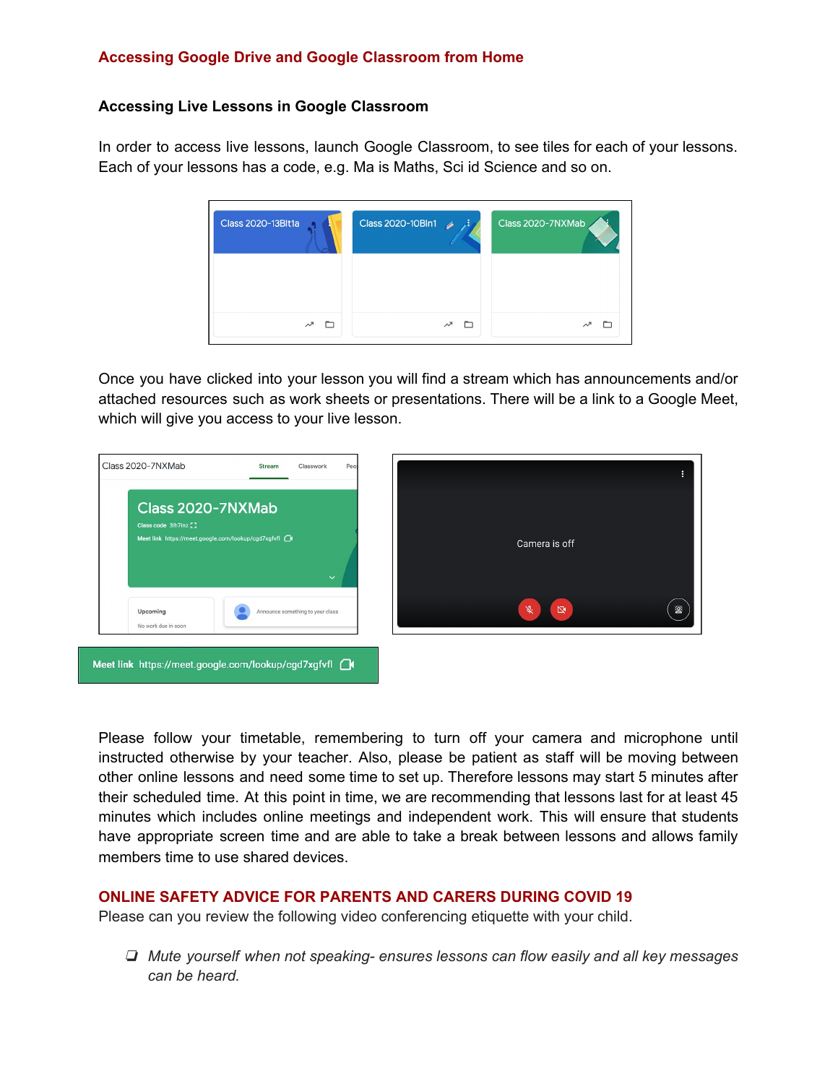# **Accessing Google Drive and Google Classroom from Home**

#### **Accessing Live Lessons in Google Classroom**

In order to access live lessons, launch Google Classroom, to see tiles for each of your lessons. Each of your lessons has a code, e.g. Ma is Maths, Sci id Science and so on.

![](_page_1_Picture_3.jpeg)

Once you have clicked into your lesson you will find a stream which has announcements and/or attached resources such as work sheets or presentations. There will be a link to a Google Meet, which will give you access to your live lesson.

![](_page_1_Picture_5.jpeg)

Please follow your timetable, remembering to turn off your camera and microphone until instructed otherwise by your teacher. Also, please be patient as staff will be moving between other online lessons and need some time to set up. Therefore lessons may start 5 minutes after their scheduled time. At this point in time, we are recommending that lessons last for at least 45 minutes which includes online meetings and independent work. This will ensure that students have appropriate screen time and are able to take a break between lessons and allows family members time to use shared devices.

# **ONLINE SAFETY ADVICE FOR PARENTS AND CARERS DURING COVID 19**

Please can you review the following video conferencing etiquette with your child.

❏ *Mute yourself when not speaking- ensures lessons can flow easily and all key messages can be heard.*